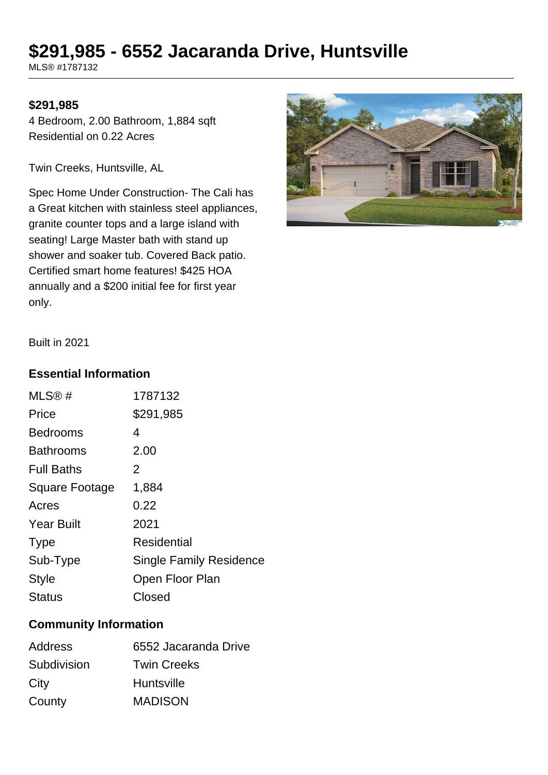# **\$291,985 - 6552 Jacaranda Drive, Huntsville**

MLS® #1787132

#### **\$291,985**

4 Bedroom, 2.00 Bathroom, 1,884 sqft Residential on 0.22 Acres

Twin Creeks, Huntsville, AL

Spec Home Under Construction- The Cali has a Great kitchen with stainless steel appliances, granite counter tops and a large island with seating! Large Master bath with stand up shower and soaker tub. Covered Back patio. Certified smart home features! \$425 HOA annually and a \$200 initial fee for first year only.



Built in 2021

### **Essential Information**

| MLS@#                 | 1787132                        |
|-----------------------|--------------------------------|
| Price                 | \$291,985                      |
| <b>Bedrooms</b>       | 4                              |
| <b>Bathrooms</b>      | 2.00                           |
| <b>Full Baths</b>     | 2                              |
| <b>Square Footage</b> | 1,884                          |
| Acres                 | 0.22                           |
| <b>Year Built</b>     | 2021                           |
| <b>Type</b>           | Residential                    |
| Sub-Type              | <b>Single Family Residence</b> |
| <b>Style</b>          | Open Floor Plan                |
| Status                | Closed                         |

### **Community Information**

| <b>Address</b> | 6552 Jacaranda Drive |
|----------------|----------------------|
| Subdivision    | <b>Twin Creeks</b>   |
| City           | <b>Huntsville</b>    |
| County         | <b>MADISON</b>       |